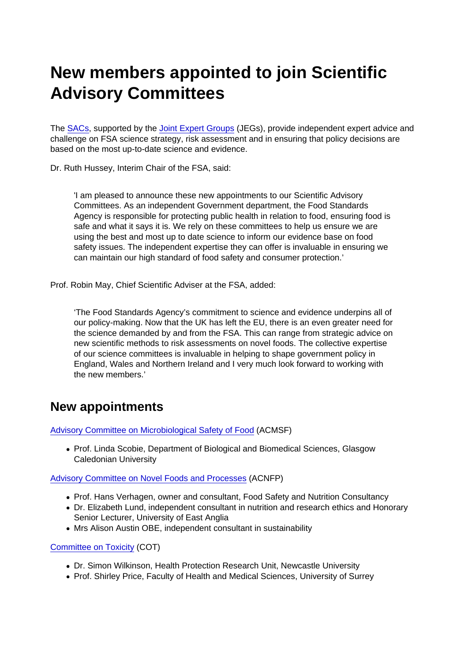## New members appointed to join Scientific Advisory Committees

The [SACs](https://sac.food.gov.uk/), supported by the [Joint Expert Groups](https://cot.food.gov.uk/jointexpertgroups) (JEGs), provide independent expert advice and challenge on FSA science strategy, risk assessment and in ensuring that policy decisions are based on the most up-to-date science and evidence.

Dr. Ruth Hussey, Interim Chair of the FSA, said:

'I am pleased to announce these new appointments to our Scientific Advisory Committees. As an independent Government department, the Food Standards Agency is responsible for protecting public health in relation to food, ensuring food is safe and what it says it is. We rely on these committees to help us ensure we are using the best and most up to date science to inform our evidence base on food safety issues. The independent expertise they can offer is invaluable in ensuring we can maintain our high standard of food safety and consumer protection.'

Prof. Robin May, Chief Scientific Adviser at the FSA, added:

'The Food Standards Agency's commitment to science and evidence underpins all of our policy-making. Now that the UK has left the EU, there is an even greater need for the science demanded by and from the FSA. This can range from strategic advice on new scientific methods to risk assessments on novel foods. The collective expertise of our science committees is invaluable in helping to shape government policy in England, Wales and Northern Ireland and I very much look forward to working with the new members.'

## New appointments

[Advisory Committee on Microbiological Safety of Food](https://acmsf.food.gov.uk/) (ACMSF)

• Prof. Linda Scobie, Department of Biological and Biomedical Sciences, Glasgow Caledonian University

[Advisory Committee on Novel Foods and Processes](https://acnfp.food.gov.uk/) (ACNFP)

- Prof. Hans Verhagen, owner and consultant, Food Safety and Nutrition Consultancy
- Dr. Elizabeth Lund, independent consultant in nutrition and research ethics and Honorary Senior Lecturer, University of East Anglia
- Mrs Alison Austin OBE, independent consultant in sustainability

[Committee on Toxicity](https://cot.food.gov.uk/) (COT)

- Dr. Simon Wilkinson, Health Protection Research Unit, Newcastle University
- Prof. Shirley Price, Faculty of Health and Medical Sciences, University of Surrey